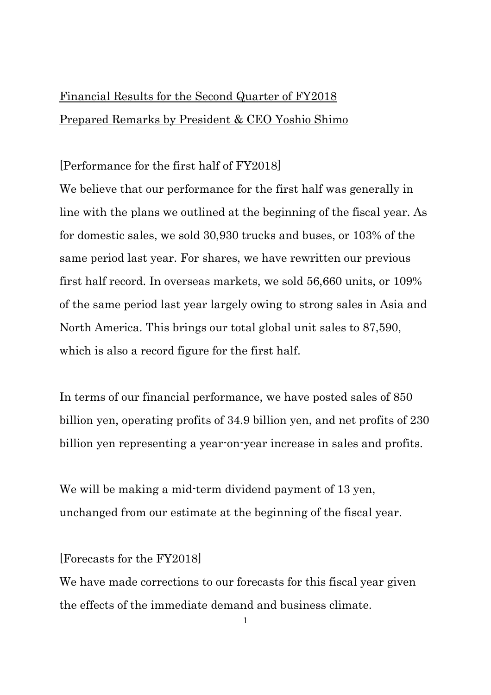# Financial Results for the Second Quarter of FY2018 Prepared Remarks by President & CEO Yoshio Shimo

## [Performance for the first half of FY2018]

We believe that our performance for the first half was generally in line with the plans we outlined at the beginning of the fiscal year. As for domestic sales, we sold 30,930 trucks and buses, or 103% of the same period last year. For shares, we have rewritten our previous first half record. In overseas markets, we sold 56,660 units, or 109% of the same period last year largely owing to strong sales in Asia and North America. This brings our total global unit sales to 87,590, which is also a record figure for the first half.

In terms of our financial performance, we have posted sales of 850 billion yen, operating profits of 34.9 billion yen, and net profits of 230 billion yen representing a year-on-year increase in sales and profits.

We will be making a mid-term dividend payment of 13 yen, unchanged from our estimate at the beginning of the fiscal year.

### [Forecasts for the FY2018]

We have made corrections to our forecasts for this fiscal year given the effects of the immediate demand and business climate.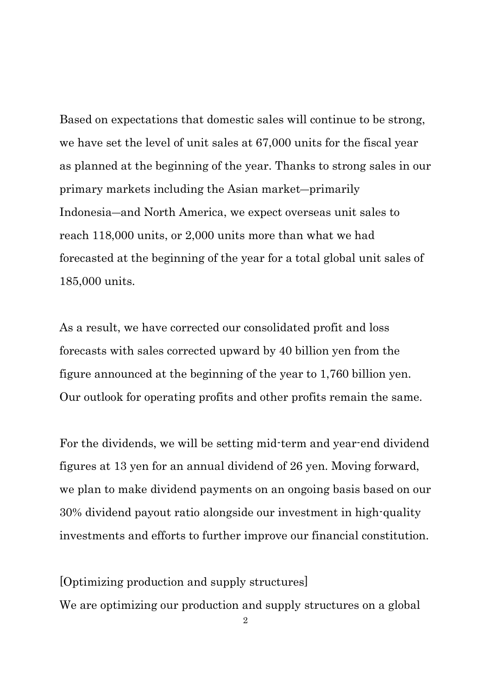Based on expectations that domestic sales will continue to be strong, we have set the level of unit sales at 67,000 units for the fiscal year as planned at the beginning of the year. Thanks to strong sales in our primary markets including the Asian market―primarily Indonesia―and North America, we expect overseas unit sales to reach 118,000 units, or 2,000 units more than what we had forecasted at the beginning of the year for a total global unit sales of 185,000 units.

As a result, we have corrected our consolidated profit and loss forecasts with sales corrected upward by 40 billion yen from the figure announced at the beginning of the year to 1,760 billion yen. Our outlook for operating profits and other profits remain the same.

For the dividends, we will be setting mid-term and year-end dividend figures at 13 yen for an annual dividend of 26 yen. Moving forward, we plan to make dividend payments on an ongoing basis based on our 30% dividend payout ratio alongside our investment in high-quality investments and efforts to further improve our financial constitution.

[Optimizing production and supply structures] We are optimizing our production and supply structures on a global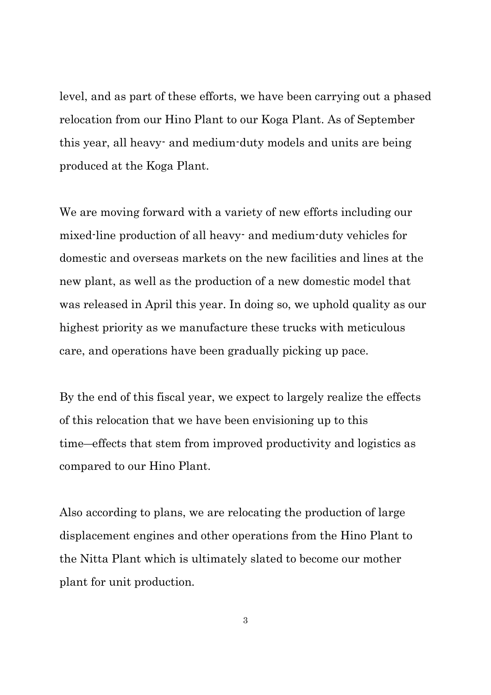level, and as part of these efforts, we have been carrying out a phased relocation from our Hino Plant to our Koga Plant. As of September this year, all heavy- and medium-duty models and units are being produced at the Koga Plant.

We are moving forward with a variety of new efforts including our mixed-line production of all heavy- and medium-duty vehicles for domestic and overseas markets on the new facilities and lines at the new plant, as well as the production of a new domestic model that was released in April this year. In doing so, we uphold quality as our highest priority as we manufacture these trucks with meticulous care, and operations have been gradually picking up pace.

By the end of this fiscal year, we expect to largely realize the effects of this relocation that we have been envisioning up to this time―effects that stem from improved productivity and logistics as compared to our Hino Plant.

Also according to plans, we are relocating the production of large displacement engines and other operations from the Hino Plant to the Nitta Plant which is ultimately slated to become our mother plant for unit production.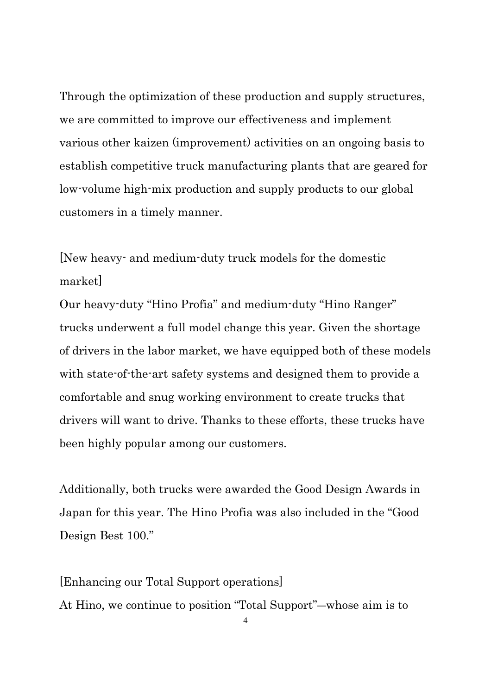Through the optimization of these production and supply structures, we are committed to improve our effectiveness and implement various other kaizen (improvement) activities on an ongoing basis to establish competitive truck manufacturing plants that are geared for low-volume high-mix production and supply products to our global customers in a timely manner.

[New heavy- and medium-duty truck models for the domestic market]

Our heavy-duty "Hino Profia" and medium-duty "Hino Ranger" trucks underwent a full model change this year. Given the shortage of drivers in the labor market, we have equipped both of these models with state-of-the-art safety systems and designed them to provide a comfortable and snug working environment to create trucks that drivers will want to drive. Thanks to these efforts, these trucks have been highly popular among our customers.

Additionally, both trucks were awarded the Good Design Awards in Japan for this year. The Hino Profia was also included in the "Good Design Best 100."

[Enhancing our Total Support operations] At Hino, we continue to position "Total Support"―whose aim is to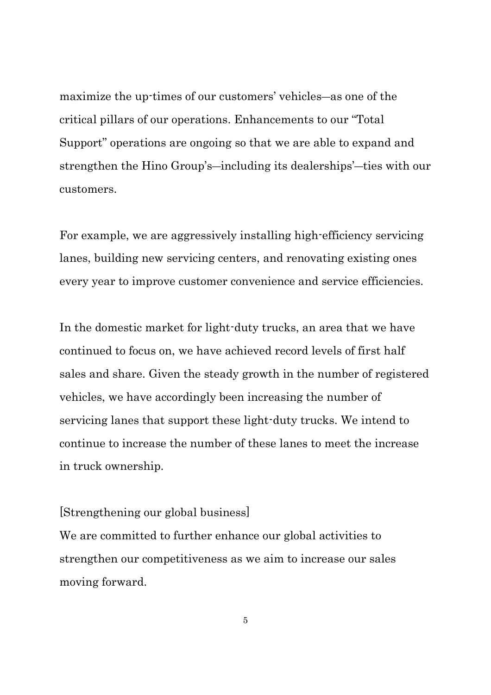maximize the up-times of our customers' vehicles―as one of the critical pillars of our operations. Enhancements to our "Total Support" operations are ongoing so that we are able to expand and strengthen the Hino Group's―including its dealerships'―ties with our customers.

For example, we are aggressively installing high-efficiency servicing lanes, building new servicing centers, and renovating existing ones every year to improve customer convenience and service efficiencies.

In the domestic market for light-duty trucks, an area that we have continued to focus on, we have achieved record levels of first half sales and share. Given the steady growth in the number of registered vehicles, we have accordingly been increasing the number of servicing lanes that support these light-duty trucks. We intend to continue to increase the number of these lanes to meet the increase in truck ownership.

#### [Strengthening our global business]

We are committed to further enhance our global activities to strengthen our competitiveness as we aim to increase our sales moving forward.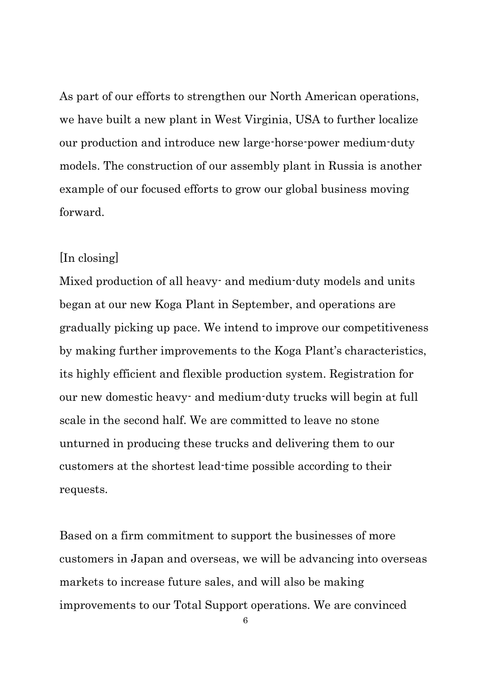As part of our efforts to strengthen our North American operations, we have built a new plant in West Virginia, USA to further localize our production and introduce new large-horse-power medium-duty models. The construction of our assembly plant in Russia is another example of our focused efforts to grow our global business moving forward.

#### [In closing]

Mixed production of all heavy- and medium-duty models and units began at our new Koga Plant in September, and operations are gradually picking up pace. We intend to improve our competitiveness by making further improvements to the Koga Plant's characteristics, its highly efficient and flexible production system. Registration for our new domestic heavy- and medium-duty trucks will begin at full scale in the second half. We are committed to leave no stone unturned in producing these trucks and delivering them to our customers at the shortest lead-time possible according to their requests.

Based on a firm commitment to support the businesses of more customers in Japan and overseas, we will be advancing into overseas markets to increase future sales, and will also be making improvements to our Total Support operations. We are convinced